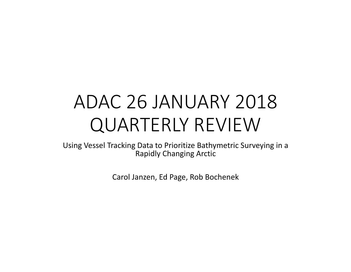# ADAC 26 JANUARY 2018 QUARTERLY REVIEW

Using Vessel Tracking Data to Prioritize Bathymetric Surveying in a Rapidly Changing Arctic

Carol Janzen, Ed Page, Rob Bochenek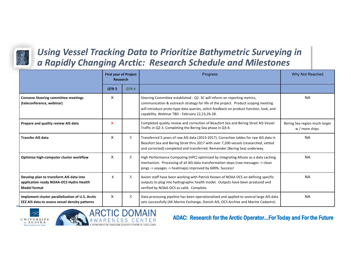

#### Using Vessel Tracking Data to Prioritize Bathymetric Surveying in *a Rapidly Changing Arctic: Research Schedule and Milestones*

|                                                                                                           | <b>First year of Project</b><br><b>Research</b> |                  | <b>Progress</b>                                                                                                                                                                                                                                                                                               | Why Not Reached                                  |
|-----------------------------------------------------------------------------------------------------------|-------------------------------------------------|------------------|---------------------------------------------------------------------------------------------------------------------------------------------------------------------------------------------------------------------------------------------------------------------------------------------------------------|--------------------------------------------------|
|                                                                                                           | QTR <sub>3</sub>                                | QTR <sub>4</sub> |                                                                                                                                                                                                                                                                                                               |                                                  |
| <b>Convene Steering committee meetings</b><br>(teleconference, webinar)                                   | X                                               |                  | Steering Committee established - Q2. SC will inform on reporting metrics,<br>communication & outreach strategy for life of the project. Product scoping meeting<br>will introduce proto-type data queries, solicit feedback on product function, look, and<br>capability. Webinar TBD - February 22,23,26-28. | <b>NA</b>                                        |
| Prepare and quality review AIS data                                                                       | X                                               |                  | Completed quality review and correction of Beaufort Sea and Bering Strait AIS Vessel<br>Traffic in Q2-3. Completing the Bering Sea phase in Q3-4.                                                                                                                                                             | Bering Sea region much larger<br>w / more ships. |
| <b>Transfer AIS data</b>                                                                                  | X                                               | $\mathsf{X}$     | Transferred 5 years of raw AIS data (2013-2017). Correction tables for raw AIS data in<br>Beaufort Sea and Bering Strait thru 2017 with over 7,200 vessels (researched, vetted<br>and corrected) completed and transferred. Remainder (Bering Sea) underway.                                                  | <b>NA</b>                                        |
| Optimize high-computer cluster workflow                                                                   | X                                               | $\times$         | High Performance Computing (HPC) optimized by integrating Alluxio as a data caching<br>mechanism. Processing of all AIS data transformation steps (raw messages -> clean<br>pings -> voyages -> heatmaps) improved by 600%. Success!                                                                          | <b>NA</b>                                        |
| Develop plan to transform AIS data into<br>application ready NOAA-OCS Hydro Health<br><b>Model format</b> | X                                               | $\mathsf{X}$     | Axiom staff have been working with Patrick Keown of NOAA OCS on defining specific<br>outputs to plug into hydrographic health model. Outputs have been produced and<br>verified by NOAA-OCS as valid. Complete.                                                                                               | <b>NA</b>                                        |
| Implement cluster parallelization of U.S. Arctic<br>EEZ AIS data to assess vessel density patterns        | X                                               | $\times$         | Data processing pipeline has been operationalized and applied to several large AIS data<br>sets successfully (AK Marine Exchange, Danish AIS, OCS Archive and Marine Cadastre)                                                                                                                                | <b>NA</b>                                        |



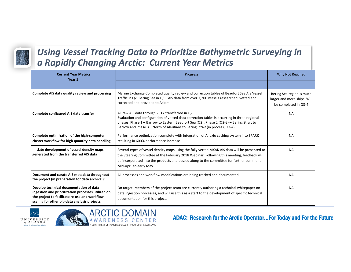

#### Using Vessel Tracking Data to Prioritize Bathymetric Surveying in *a Rapidly Changing Arctic: Current Year Metrics*

| <b>Current Year Metrics</b><br>Year 1                                                                                                                                                           | Progress                                                                                                                                                                                                                                                                                                                       | Why Not Reached                                                                  |
|-------------------------------------------------------------------------------------------------------------------------------------------------------------------------------------------------|--------------------------------------------------------------------------------------------------------------------------------------------------------------------------------------------------------------------------------------------------------------------------------------------------------------------------------|----------------------------------------------------------------------------------|
|                                                                                                                                                                                                 |                                                                                                                                                                                                                                                                                                                                |                                                                                  |
| Complete AIS data quality review and processing                                                                                                                                                 | Marine Exchange Completed quality review and correction tables of Beaufort Sea AIS Vessel<br>Traffic in Q2, Bering Sea in Q3 AIS data from over 7,200 vessels researched, vetted and<br>corrected and provided to Axiom.                                                                                                       | Bering Sea region is much<br>larger and more ships. Will<br>be completed in Q3-4 |
| Complete configured AIS data transfer                                                                                                                                                           | All raw AIS data through 2017 transferred in Q2.<br>Evaluation and configuration of vetted data correction tables is occurring in three regional<br>phases: Phase $1$ – Barrow to Eastern Beaufort Sea (Q2); Phase 2 (Q2-3) – Bering Strait to<br>Barrow and Phase 3 – North of Aleutians to Bering Strait (in process, Q3-4). | <b>NA</b>                                                                        |
| Complete optimization of the high-computer<br>cluster workflow for high quantity data handling                                                                                                  | Performance optimization complete with integration of Alluxio caching system into SPARK<br>resulting in 600% performance increase.                                                                                                                                                                                             | <b>NA</b>                                                                        |
| Initiate development of vessel density maps<br>generated from the transferred AIS data                                                                                                          | Several types of vessel density maps using the fully vetted MXAK AIS data will be presented to<br>the Steering Committee at the February 2018 Webinar. Following this meeting, feedback will<br>be incorporated into the products and passed along to the committee for further comment<br>Mid-April to early May.             | <b>NA</b>                                                                        |
| Document and curate AIS metadata throughout<br>the project (in preparation for data archival);                                                                                                  | All processes and workflow modifications are being tracked and documented.                                                                                                                                                                                                                                                     | <b>NA</b>                                                                        |
| Develop technical documentation of data<br>ingestion and prioritization processes utilized on<br>the project to facilitate re-use and workflow<br>scaling for other big-data analysis projects. | On target: Members of the project team are currently authoring a technical whitepaper on<br>data ingestion processes, and will use this as a start to the development of specific technical<br>documentation for this project.                                                                                                 | <b>NA</b>                                                                        |



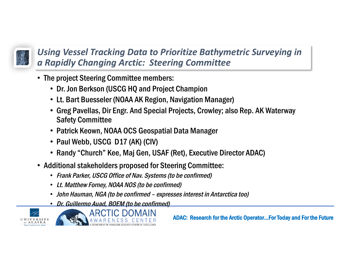

Using Vessel Tracking Data to Prioritize Bathymetric Surveying in *a Rapidly Changing Arctic: Steering Committee*

- The project Steering Committee members:
	- Dr. Jon Berkson (USCG HQ and Project Champion
	- Lt. Bart Buesseler (NOAA AK Region, Navigation Manager)
	- Greg Pavellas, Dir Engr. And Special Projects, Crowley; also Rep. AK Waterway Safety Committee
	- Patrick Keown, NOAA OCS Geospatial Data Manager
	- Paul Webb, USCG D17 (AK) (CIV)
	- Randy "Church" Kee, Maj Gen, USAF (Ret), Executive Director ADAC)
- Additional stakeholders proposed for Steering Committee:
	- Frank Parker, USCG Office of Nav. Systems (to be confirmed)
	- Lt. Matthew Forney, NOAA NOS (to be confirmed)
	- John Hauman, NGA (to be confirmed expresses interest in Antarctica too)
	- Dr. Guillermo Auad, BOEM (to be confirmed)



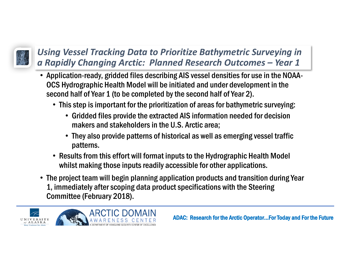

## Using Vessel Tracking Data to Prioritize Bathymetric Surveying in *a Rapidly Changing Arctic: Planned Research Outcomes – Year 1*

- Application-ready, gridded files describing AIS vessel densities for use in the NOAA-OCS Hydrographic Health Model will be initiated and under development in the second half of Year 1 (to be completed by the second half of Year 2).
	- This step is important for the prioritization of areas for bathymetric surveying:
		- Gridded files provide the extracted AIS information needed for decision makers and stakeholders in the U.S. Arctic area;
		- They also provide patterns of historical as well as emerging vessel traffic patterns.
	- Results from this effort will format inputs to the Hydrographic Health Model whilst making those inputs readily accessible for other applications.
- The project team will begin planning application products and transition during Year 1, immediately after scoping data product specifications with the Steering Committee (February 2018).

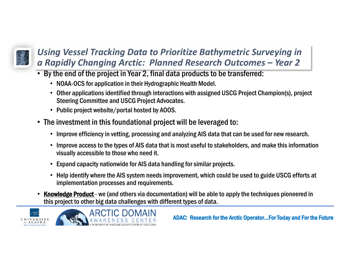

## Using Vessel Tracking Data to Prioritize Bathymetric Surveying in *a Rapidly Changing Arctic: Planned Research Outcomes – Year 2*

- By the end of the project in Year 2, final data products to be transferred:
	- NOAA-OCS for application in their Hydrographic Health Model.
	- Other applications identified through interactions with assigned USCG Project Champion(s), project Steering Committee and USCG Project Advocates.
	- Public project website/portal hosted by AOOS.
- The investment in this foundational project will be leveraged to:
	- Improve efficiency in vetting, processing and analyzing AIS data that can be used for new research.
	- Improve access to the types of AIS data that is most useful to stakeholders, and make this information visually accessible to those who need it.
	- Expand capacity nationwide for AIS data handling for similar projects.
	- Help identify where the AIS system needs improvement, which could be used to guide USCG efforts at implementation processes and requirements.
- Knowledge Product we (and others via documentation) will be able to apply the techniques pioneered in this project to other big data challenges with different types of data.